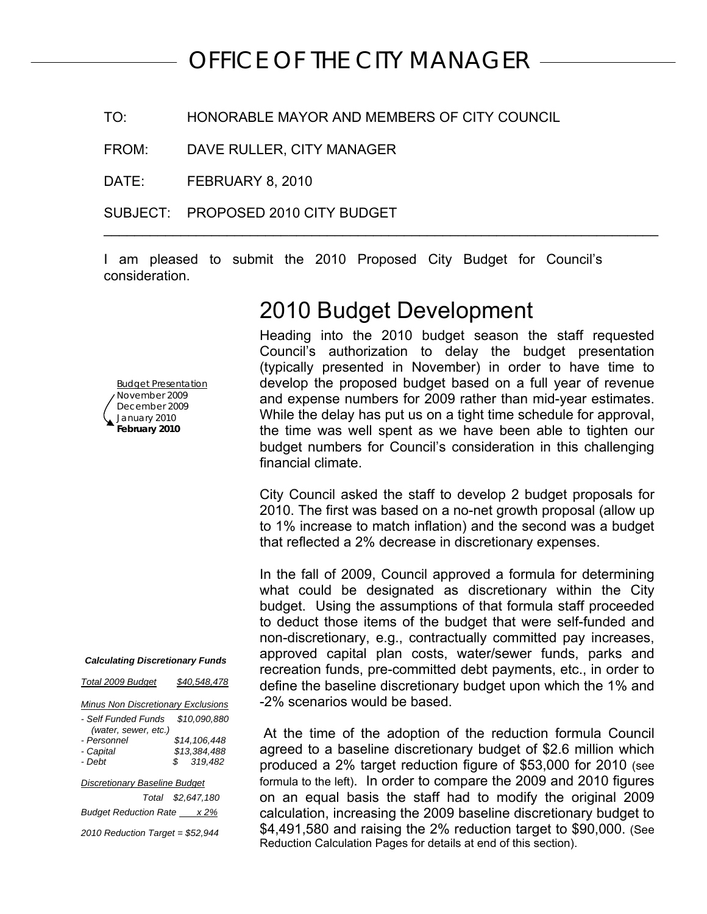# *OFFICE OF THE CITY MANAGER*

TO: HONORABLE MAYOR AND MEMBERS OF CITY COUNCIL

FROM: DAVE RULLER, CITY MANAGER

DATE: FEBRUARY 8, 2010

SUBJECT: PROPOSED 2010 CITY BUDGET

I am pleased to submit the 2010 Proposed City Budget for Council's consideration.

\_\_\_\_\_\_\_\_\_\_\_\_\_\_\_\_\_\_\_\_\_\_\_\_\_\_\_\_\_\_\_\_\_\_\_\_\_\_\_\_\_\_\_\_\_\_\_\_\_\_\_\_\_\_\_\_\_\_\_\_\_\_\_\_\_\_\_\_\_\_\_\_

2010 Budget Development

### Budget Presentation November 2009 December 2009 January 2010 **February 2010**

*Calculating Discretionary Funds* 

| Total 2009 Budget | \$40,548,478 |
|-------------------|--------------|
|                   |              |

| Minus Non Discretionary Exclusions |  |
|------------------------------------|--|
|                                    |  |

| - Self Funded Funds                  | \$10.090.880      |
|--------------------------------------|-------------------|
| (water, sewer, etc.)                 |                   |
| - Personnel                          | \$14,106,448      |
| - Capital                            | \$13.384.488      |
| - Debt                               | \$319.482         |
|                                      |                   |
| <b>Discretionary Baseline Budget</b> |                   |
|                                      | Total \$2,647,180 |

**Budget Reduction Rate** x 2% *2010 Reduction Target = \$52,944* 

Heading into the 2010 budget season the staff requested Council's authorization to delay the budget presentation (typically presented in November) in order to have time to develop the proposed budget based on a full year of revenue and expense numbers for 2009 rather than mid-year estimates. While the delay has put us on a tight time schedule for approval, the time was well spent as we have been able to tighten our budget numbers for Council's consideration in this challenging financial climate.

City Council asked the staff to develop 2 budget proposals for 2010. The first was based on a no-net growth proposal (allow up to 1% increase to match inflation) and the second was a budget that reflected a 2% decrease in discretionary expenses.

In the fall of 2009, Council approved a formula for determining what could be designated as discretionary within the City budget. Using the assumptions of that formula staff proceeded to deduct those items of the budget that were self-funded and non-discretionary, e.g., contractually committed pay increases, approved capital plan costs, water/sewer funds, parks and recreation funds, pre-committed debt payments, etc., in order to define the baseline discretionary budget upon which the 1% and -2% scenarios would be based.

 At the time of the adoption of the reduction formula Council agreed to a baseline discretionary budget of \$2.6 million which produced a 2% target reduction figure of \$53,000 for 2010 (see formula to the left). In order to compare the 2009 and 2010 figures on an equal basis the staff had to modify the original 2009 calculation, increasing the 2009 baseline discretionary budget to \$4,491,580 and raising the 2% reduction target to \$90,000. (See Reduction Calculation Pages for details at end of this section).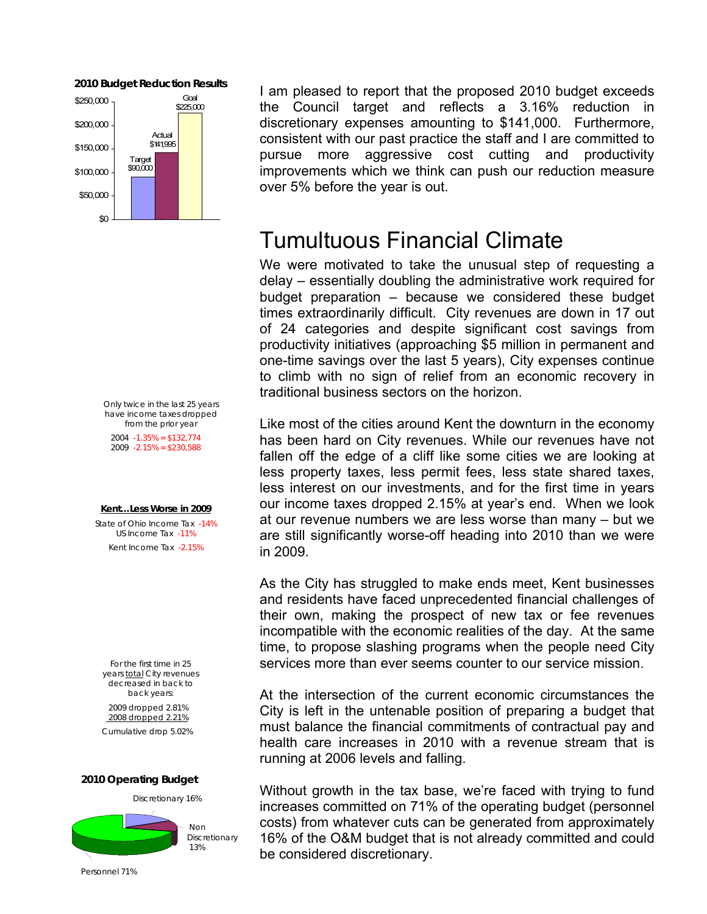

*Only twice in the last 25 years have income taxes dropped from the prior year 2004 -1.35% = \$132,774*

 *2009 -2.15% = \$230,588*

### *Kent…Less Worse in 2009*

*State of Ohio Income Tax -14% US Income Tax -11% Kent Income Tax -2.15%* 

*For the first time in 25 years total City revenues decreased in back to back years: 2009 dropped 2.81% 2008 dropped 2.21% Cumulative drop 5.02%* 

### *2010 Operating Budget*



**2010 Budget Reduction Results** I am pleased to report that the proposed 2010 budget exceeds the Council target and reflects a 3.16% reduction in discretionary expenses amounting to \$141,000. Furthermore, consistent with our past practice the staff and I are committed to pursue more aggressive cost cutting and productivity improvements which we think can push our reduction measure over 5% before the year is out.

# Tumultuous Financial Climate

We were motivated to take the unusual step of requesting a delay – essentially doubling the administrative work required for budget preparation – because we considered these budget times extraordinarily difficult. City revenues are down in 17 out of 24 categories and despite significant cost savings from productivity initiatives (approaching \$5 million in permanent and one-time savings over the last 5 years), City expenses continue to climb with no sign of relief from an economic recovery in traditional business sectors on the horizon.

Like most of the cities around Kent the downturn in the economy has been hard on City revenues. While our revenues have not fallen off the edge of a cliff like some cities we are looking at less property taxes, less permit fees, less state shared taxes, less interest on our investments, and for the first time in years our income taxes dropped 2.15% at year's end. When we look at our revenue numbers we are less worse than many – but we are still significantly worse-off heading into 2010 than we were in 2009.

As the City has struggled to make ends meet, Kent businesses and residents have faced unprecedented financial challenges of their own, making the prospect of new tax or fee revenues incompatible with the economic realities of the day. At the same time, to propose slashing programs when the people need City services more than ever seems counter to our service mission.

At the intersection of the current economic circumstances the City is left in the untenable position of preparing a budget that must balance the financial commitments of contractual pay and health care increases in 2010 with a revenue stream that is running at 2006 levels and falling.

Without growth in the tax base, we're faced with trying to fund increases committed on 71% of the operating budget (personnel costs) from whatever cuts can be generated from approximately 16% of the O&M budget that is not already committed and could be considered discretionary.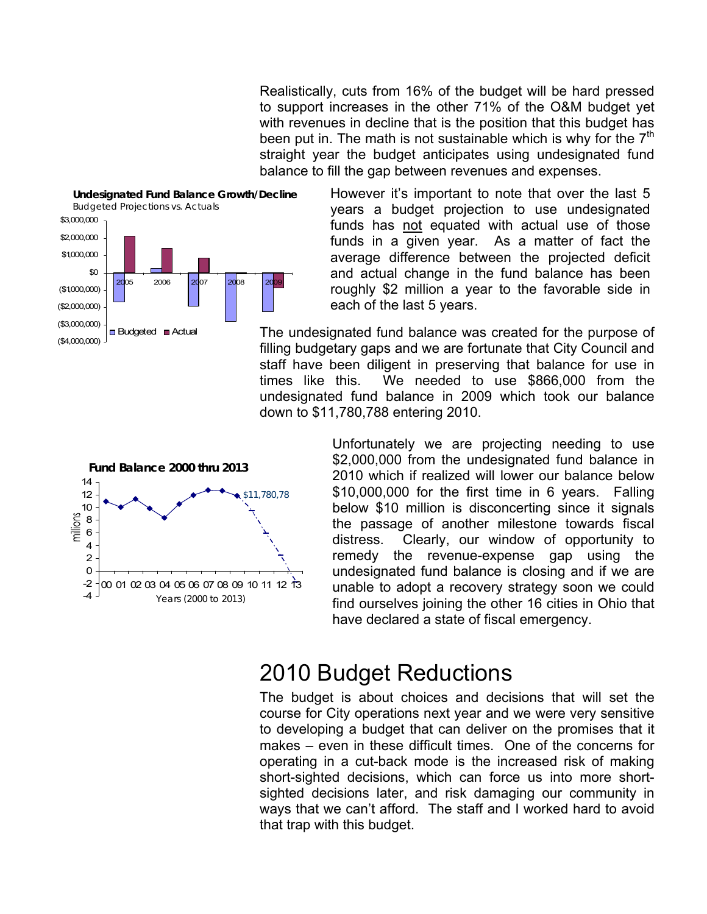Realistically, cuts from 16% of the budget will be hard pressed to support increases in the other 71% of the O&M budget yet with revenues in decline that is the position that this budget has been put in. The math is not sustainable which is why for the  $7<sup>th</sup>$ straight year the budget anticipates using undesignated fund balance to fill the gap between revenues and expenses.





However it's important to note that over the last 5 years a budget projection to use undesignated funds has not equated with actual use of those funds in a given year. As a matter of fact the average difference between the projected deficit and actual change in the fund balance has been roughly \$2 million a year to the favorable side in each of the last 5 years.

The undesignated fund balance was created for the purpose of filling budgetary gaps and we are fortunate that City Council and staff have been diligent in preserving that balance for use in times like this. We needed to use \$866,000 from the undesignated fund balance in 2009 which took our balance down to \$11,780,788 entering 2010.



Unfortunately we are projecting needing to use \$2,000,000 from the undesignated fund balance in 2010 which if realized will lower our balance below \$10,000,000 for the first time in 6 years. Falling below \$10 million is disconcerting since it signals the passage of another milestone towards fiscal distress. Clearly, our window of opportunity to remedy the revenue-expense gap using the undesignated fund balance is closing and if we are unable to adopt a recovery strategy soon we could find ourselves joining the other 16 cities in Ohio that have declared a state of fiscal emergency.

# 2010 Budget Reductions

The budget is about choices and decisions that will set the course for City operations next year and we were very sensitive to developing a budget that can deliver on the promises that it makes – even in these difficult times. One of the concerns for operating in a cut-back mode is the increased risk of making short-sighted decisions, which can force us into more shortsighted decisions later, and risk damaging our community in ways that we can't afford. The staff and I worked hard to avoid that trap with this budget.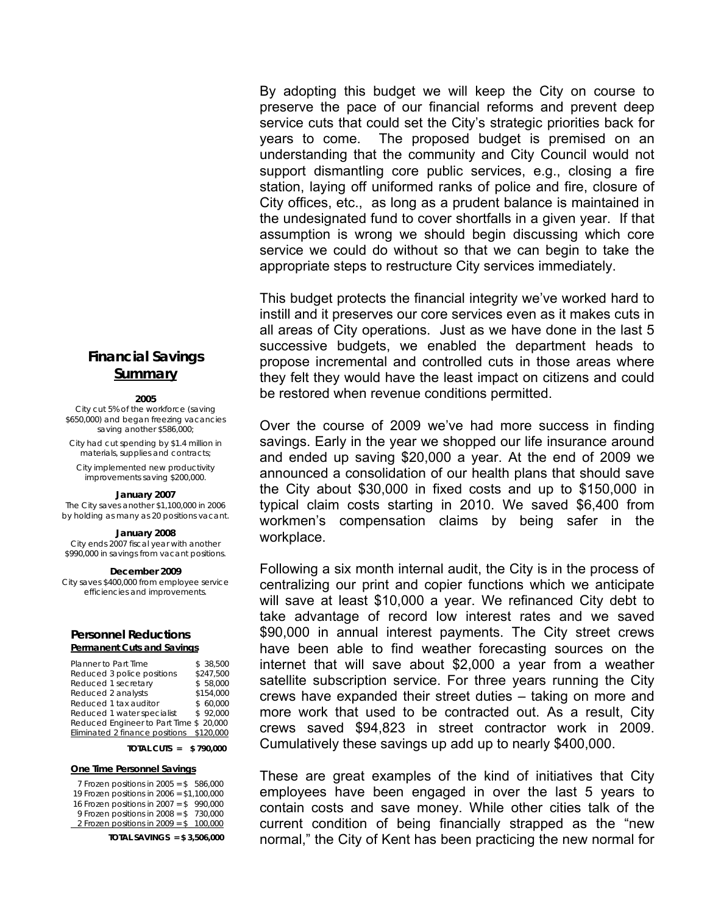## **Financial Savings Summary**

### **2005**

City cut 5% of the workforce (saving \$650,000) and began freezing vacancies saving another \$586,000;

City had cut spending by \$1.4 million in materials, supplies and contracts;

City implemented new productivity improvements saving \$200,000.

### **January 2007**

The City saves another \$1,100,000 in 2006 by holding as many as 20 positions vacant.

### **January 2008**

City ends 2007 fiscal year with another \$990,000 in savings from vacant positions.

### **December 2009**

City saves \$400,000 from employee service efficiencies and improvements.

### **Personnel Reductions Permanent Cuts and Savings**

| Planner to Part Time                     | \$ 38.500 |
|------------------------------------------|-----------|
| Reduced 3 police positions               | \$247.500 |
| Reduced 1 secretary                      | \$58,000  |
| Reduced 2 analysts                       | \$154.000 |
| Reduced 1 tax auditor                    | \$60.000  |
| Reduced 1 water specialist               | \$92.000  |
| Reduced Engineer to Part Time \$ 20,000  |           |
| Eliminated 2 finance positions \$120,000 |           |

### **TOTAL CUTS = \$ 790,000**

### **One Time Personnel Savings**

| 7 Frozen positions in $2005 = $586,000$   |
|-------------------------------------------|
| 19 Frozen positions in 2006 = \$1,100,000 |
| 16 Frozen positions in $2007 = $$ 990,000 |
| 9 Frozen positions in $2008 = $$ 730,000  |
| 2 Frozen positions in $2009 = $ 100,000$  |
|                                           |

**TOTAL SAVINGS = \$ 3,506,000** 

By adopting this budget we will keep the City on course to preserve the pace of our financial reforms and prevent deep service cuts that could set the City's strategic priorities back for years to come. The proposed budget is premised on an understanding that the community and City Council would not support dismantling core public services, e.g., closing a fire station, laying off uniformed ranks of police and fire, closure of City offices, etc., as long as a prudent balance is maintained in the undesignated fund to cover shortfalls in a given year. If that assumption is wrong we should begin discussing which core service we could do without so that we can begin to take the appropriate steps to restructure City services immediately.

This budget protects the financial integrity we've worked hard to instill and it preserves our core services even as it makes cuts in all areas of City operations. Just as we have done in the last 5 successive budgets, we enabled the department heads to propose incremental and controlled cuts in those areas where they felt they would have the least impact on citizens and could be restored when revenue conditions permitted.

Over the course of 2009 we've had more success in finding savings. Early in the year we shopped our life insurance around and ended up saving \$20,000 a year. At the end of 2009 we announced a consolidation of our health plans that should save the City about \$30,000 in fixed costs and up to \$150,000 in typical claim costs starting in 2010. We saved \$6,400 from workmen's compensation claims by being safer in the workplace.

Following a six month internal audit, the City is in the process of centralizing our print and copier functions which we anticipate will save at least \$10,000 a year. We refinanced City debt to take advantage of record low interest rates and we saved \$90,000 in annual interest payments. The City street crews have been able to find weather forecasting sources on the internet that will save about \$2,000 a year from a weather satellite subscription service. For three years running the City crews have expanded their street duties – taking on more and more work that used to be contracted out. As a result, City crews saved \$94,823 in street contractor work in 2009. Cumulatively these savings up add up to nearly \$400,000.

These are great examples of the kind of initiatives that City employees have been engaged in over the last 5 years to contain costs and save money. While other cities talk of the current condition of being financially strapped as the "new normal," the City of Kent has been practicing the new normal for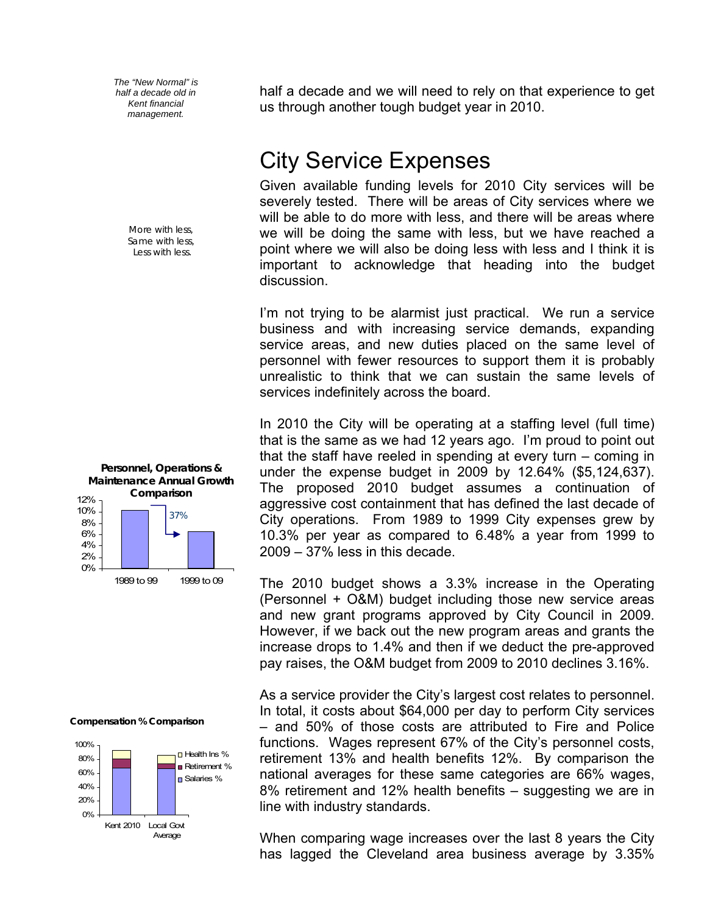*The "New Normal" is half a decade old in Kent financial management.* 

> *More with less, Same with less, Less with less.*



# **Compensation % Comparison**



half a decade and we will need to rely on that experience to get us through another tough budget year in 2010.

# City Service Expenses

Given available funding levels for 2010 City services will be severely tested. There will be areas of City services where we will be able to do more with less, and there will be areas where we will be doing the same with less, but we have reached a point where we will also be doing less with less and I think it is important to acknowledge that heading into the budget discussion.

I'm not trying to be alarmist just practical. We run a service business and with increasing service demands, expanding service areas, and new duties placed on the same level of personnel with fewer resources to support them it is probably unrealistic to think that we can sustain the same levels of services indefinitely across the board.

In 2010 the City will be operating at a staffing level (full time) that is the same as we had 12 years ago. I'm proud to point out that the staff have reeled in spending at every turn – coming in under the expense budget in 2009 by 12.64% (\$5,124,637). The proposed 2010 budget assumes a continuation of aggressive cost containment that has defined the last decade of City operations. From 1989 to 1999 City expenses grew by 10.3% per year as compared to 6.48% a year from 1999 to 2009 – 37% less in this decade.

The 2010 budget shows a 3.3% increase in the Operating (Personnel + O&M) budget including those new service areas and new grant programs approved by City Council in 2009. However, if we back out the new program areas and grants the increase drops to 1.4% and then if we deduct the pre-approved pay raises, the O&M budget from 2009 to 2010 declines 3.16%.

As a service provider the City's largest cost relates to personnel. In total, it costs about \$64,000 per day to perform City services – and 50% of those costs are attributed to Fire and Police functions. Wages represent 67% of the City's personnel costs, retirement 13% and health benefits 12%. By comparison the national averages for these same categories are 66% wages, 8% retirement and 12% health benefits – suggesting we are in line with industry standards.

When comparing wage increases over the last 8 years the City has lagged the Cleveland area business average by 3.35%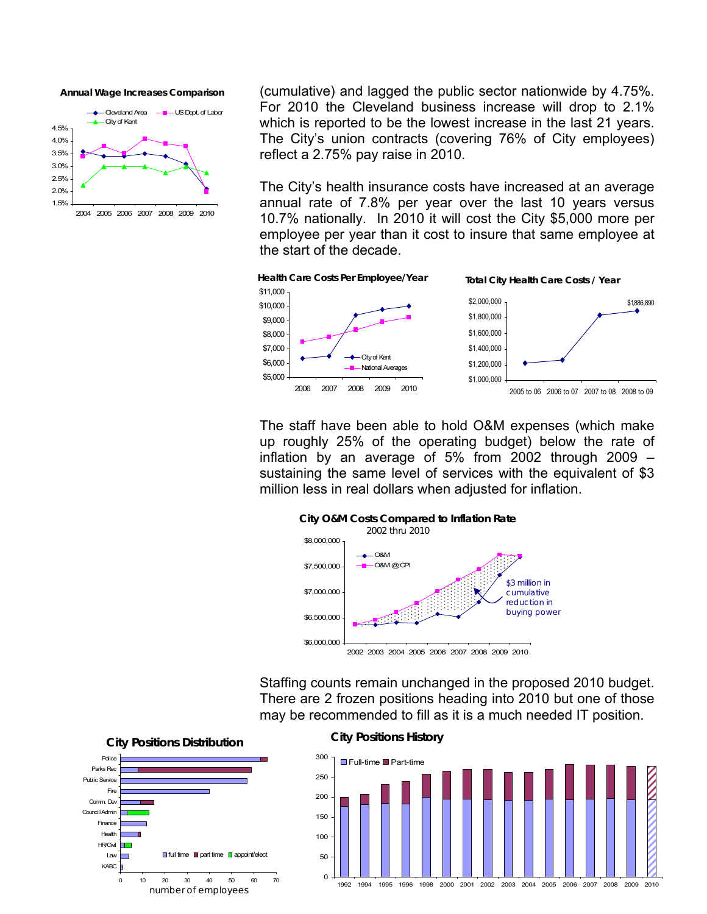**Annual Wage Increases Comparison** 



(cumulative) and lagged the public sector nationwide by 4.75%. For 2010 the Cleveland business increase will drop to 2.1% which is reported to be the lowest increase in the last 21 years. The City's union contracts (covering 76% of City employees) reflect a 2.75% pay raise in 2010.

The City's health insurance costs have increased at an average annual rate of 7.8% per year over the last 10 years versus 10.7% nationally. In 2010 it will cost the City \$5,000 more per employee per year than it cost to insure that same employee at the start of the decade.



The staff have been able to hold O&M expenses (which make up roughly 25% of the operating budget) below the rate of inflation by an average of 5% from 2002 through 2009 – sustaining the same level of services with the equivalent of \$3 million less in real dollars when adjusted for inflation.



Staffing counts remain unchanged in the proposed 2010 budget. There are 2 frozen positions heading into 2010 but one of those may be recommended to fill as it is a much needed IT position.

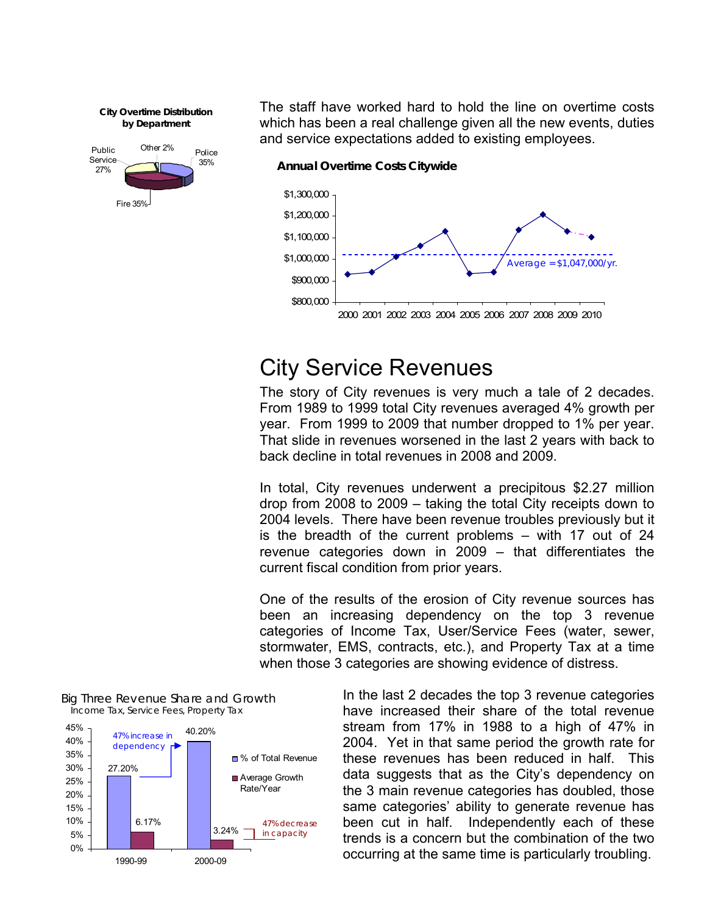**City Overtime Distribution by Department** 



The staff have worked hard to hold the line on overtime costs which has been a real challenge given all the new events, duties and service expectations added to existing employees.

 **Annual Overtime Costs Citywide** 



# City Service Revenues

The story of City revenues is very much a tale of 2 decades. From 1989 to 1999 total City revenues averaged 4% growth per year. From 1999 to 2009 that number dropped to 1% per year. That slide in revenues worsened in the last 2 years with back to back decline in total revenues in 2008 and 2009.

In total, City revenues underwent a precipitous \$2.27 million drop from 2008 to 2009 – taking the total City receipts down to 2004 levels. There have been revenue troubles previously but it is the breadth of the current problems – with 17 out of 24 revenue categories down in 2009 – that differentiates the current fiscal condition from prior years.

One of the results of the erosion of City revenue sources has been an increasing dependency on the top 3 revenue categories of Income Tax, User/Service Fees (water, sewer, stormwater, EMS, contracts, etc.), and Property Tax at a time when those 3 categories are showing evidence of distress.



Big Three Revenue Share and Growth Income Tax, Service Fees, Property Tax

In the last 2 decades the top 3 revenue categories have increased their share of the total revenue stream from 17% in 1988 to a high of 47% in 2004. Yet in that same period the growth rate for these revenues has been reduced in half. This data suggests that as the City's dependency on the 3 main revenue categories has doubled, those same categories' ability to generate revenue has been cut in half. Independently each of these trends is a concern but the combination of the two occurring at the same time is particularly troubling.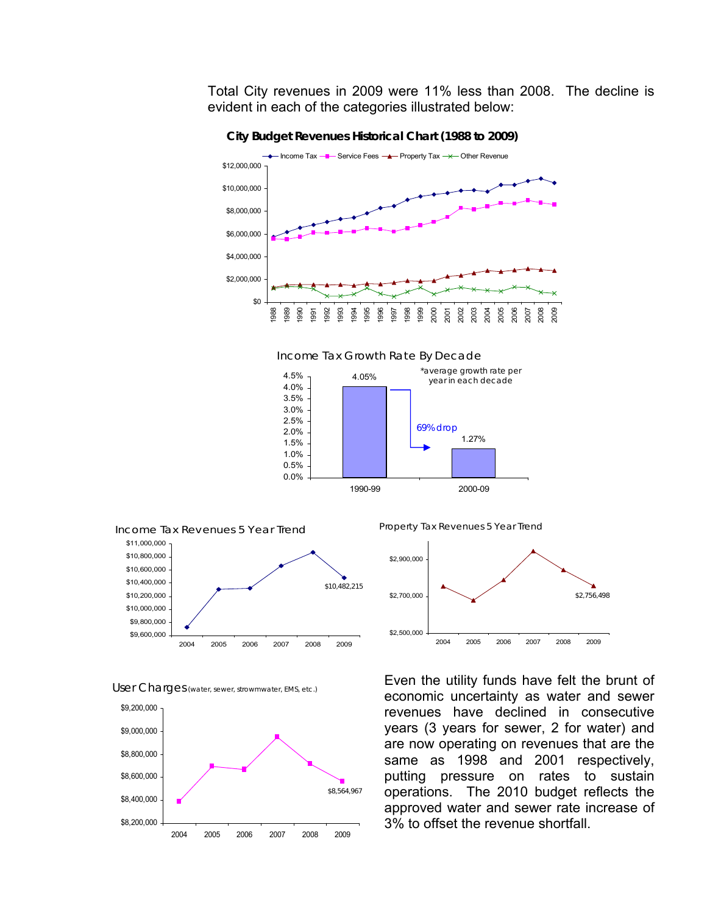Total City revenues in 2009 were 11% less than 2008. The decline is evident in each of the categories illustrated below:



**City Budget Revenues Historical Chart (1988 to 2009)** 



0.0% 0.5%

User Charges (water, sewer, strowmwater, EMS, etc.)



Property Tax Revenues 5 Year Trend

1990-99 2000-09



Even the utility funds have felt the brunt of economic uncertainty as water and sewer revenues have declined in consecutive years (3 years for sewer, 2 for water) and are now operating on revenues that are the same as 1998 and 2001 respectively, putting pressure on rates to sustain operations. The 2010 budget reflects the approved water and sewer rate increase of 3% to offset the revenue shortfall.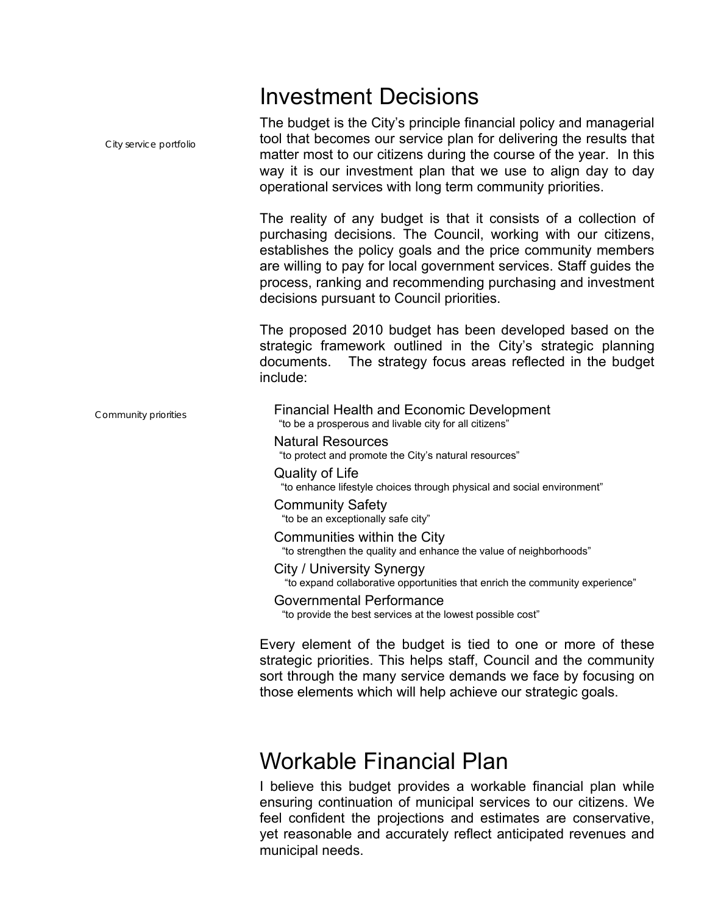# Investment Decisions

The budget is the City's principle financial policy and managerial tool that becomes our service plan for delivering the results that matter most to our citizens during the course of the year. In this way it is our investment plan that we use to align day to day operational services with long term community priorities. *City service portfolio*  The reality of any budget is that it consists of a collection of purchasing decisions. The Council, working with our citizens, establishes the policy goals and the price community members are willing to pay for local government services. Staff guides the process, ranking and recommending purchasing and investment decisions pursuant to Council priorities. The proposed 2010 budget has been developed based on the strategic framework outlined in the City's strategic planning documents. The strategy focus areas reflected in the budget include: Financial Health and Economic Development *Community priorities* "to be a prosperous and livable city for all citizens" Natural Resources "to protect and promote the City's natural resources" Quality of Life "to enhance lifestyle choices through physical and social environment" Community Safety "to be an exceptionally safe city" Communities within the City "to strengthen the quality and enhance the value of neighborhoods" City / University Synergy "to expand collaborative opportunities that enrich the community experience" Governmental Performance "to provide the best services at the lowest possible cost" Every element of the budget is tied to one or more of these strategic priorities. This helps staff, Council and the community sort through the many service demands we face by focusing on those elements which will help achieve our strategic goals.

# Workable Financial Plan

I believe this budget provides a workable financial plan while ensuring continuation of municipal services to our citizens. We feel confident the projections and estimates are conservative, yet reasonable and accurately reflect anticipated revenues and municipal needs.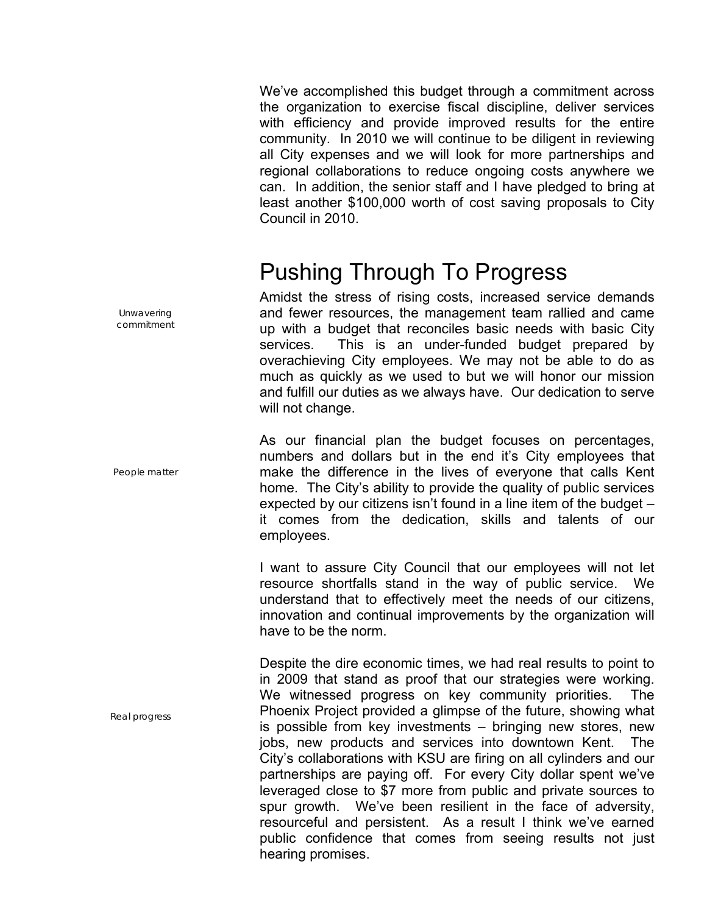We've accomplished this budget through a commitment across the organization to exercise fiscal discipline, deliver services with efficiency and provide improved results for the entire community. In 2010 we will continue to be diligent in reviewing all City expenses and we will look for more partnerships and regional collaborations to reduce ongoing costs anywhere we can. In addition, the senior staff and I have pledged to bring at least another \$100,000 worth of cost saving proposals to City Council in 2010.

# Pushing Through To Progress

Amidst the stress of rising costs, increased service demands and fewer resources, the management team rallied and came up with a budget that reconciles basic needs with basic City services. This is an under-funded budget prepared by overachieving City employees. We may not be able to do as much as quickly as we used to but we will honor our mission and fulfill our duties as we always have. Our dedication to serve will not change.

As our financial plan the budget focuses on percentages, numbers and dollars but in the end it's City employees that make the difference in the lives of everyone that calls Kent home. The City's ability to provide the quality of public services expected by our citizens isn't found in a line item of the budget – it comes from the dedication, skills and talents of our employees.

I want to assure City Council that our employees will not let resource shortfalls stand in the way of public service. We understand that to effectively meet the needs of our citizens, innovation and continual improvements by the organization will have to be the norm.

Despite the dire economic times, we had real results to point to in 2009 that stand as proof that our strategies were working. We witnessed progress on key community priorities. The Phoenix Project provided a glimpse of the future, showing what is possible from key investments – bringing new stores, new jobs, new products and services into downtown Kent. The City's collaborations with KSU are firing on all cylinders and our partnerships are paying off. For every City dollar spent we've leveraged close to \$7 more from public and private sources to spur growth. We've been resilient in the face of adversity, resourceful and persistent. As a result I think we've earned public confidence that comes from seeing results not just hearing promises.

*Unwavering commitment* 

*People matter* 

*Real progress*